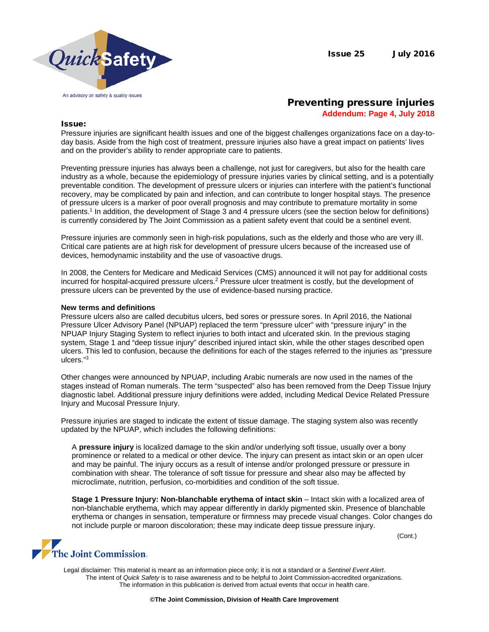QuickSafety An advisory on safety & quality issues

Issue 25 July 2016

# Preventing pressure injuries **Addendum: Page 4, July 2018**

#### Issue:

Pressure injuries are significant health issues and one of the biggest challenges organizations face on a day-today basis. Aside from the high cost of treatment, pressure injuries also have a great impact on patients' lives and on the provider's ability to render appropriate care to patients.

Preventing pressure injuries has always been a challenge, not just for caregivers, but also for the health care industry as a whole, because the epidemiology of pressure injuries varies by clinical setting, and is a potentially preventable condition. The development of pressure ulcers or injuries can interfere with the patient's functional recovery, may be complicated by pain and infection, and can contribute to longer hospital stays. The presence of pressure ulcers is a marker of poor overall prognosis and may contribute to premature mortality in some patients.1 In addition, the development of Stage 3 and 4 pressure ulcers (see the section below for definitions) is currently considered by The Joint Commission as a patient safety event that could be a sentinel event.

Pressure injuries are commonly seen in high-risk populations, such as the elderly and those who are very ill. Critical care patients are at high risk for development of pressure ulcers because of the increased use of devices, hemodynamic instability and the use of vasoactive drugs.

In 2008, the Centers for Medicare and Medicaid Services (CMS) announced it will not pay for additional costs incurred for hospital-acquired pressure ulcers.2 Pressure ulcer treatment is costly, but the development of pressure ulcers can be prevented by the use of evidence-based nursing practice.

#### **New terms and definitions**

Pressure ulcers also are called decubitus ulcers, bed sores or pressure sores. In April 2016, the National Pressure Ulcer Advisory Panel (NPUAP) replaced the term "pressure ulcer" with "pressure injury" in the NPUAP Injury Staging System to reflect injuries to both intact and ulcerated skin. In the previous staging system, Stage 1 and "deep tissue injury" described injured intact skin, while the other stages described open ulcers. This led to confusion, because the definitions for each of the stages referred to the injuries as "pressure ulcers." 3

Other changes were announced by NPUAP, including Arabic numerals are now used in the names of the stages instead of Roman numerals. The term "suspected" also has been removed from the Deep Tissue Injury diagnostic label. Additional pressure injury definitions were added, including Medical Device Related Pressure Injury and Mucosal Pressure Injury.

Pressure injuries are staged to indicate the extent of tissue damage. The staging system also was recently updated by the NPUAP, which includes the following definitions:

A **pressure injury** is localized damage to the skin and/or underlying soft tissue, usually over a bony prominence or related to a medical or other device. The injury can present as intact skin or an open ulcer and may be painful. The injury occurs as a result of intense and/or prolonged pressure or pressure in combination with shear. The tolerance of soft tissue for pressure and shear also may be affected by microclimate, nutrition, perfusion, co-morbidities and condition of the soft tissue.

**Stage 1 Pressure Injury: Non-blanchable erythema of intact skin** – Intact skin with a localized area of non-blanchable erythema, which may appear differently in darkly pigmented skin. Presence of blanchable erythema or changes in sensation, temperature or firmness may precede visual changes. Color changes do not include purple or maroon discoloration; these may indicate deep tissue pressure injury.

(Cont.)

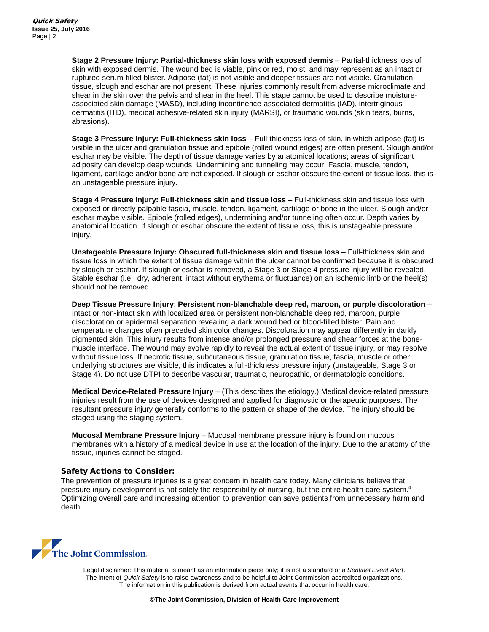**Stage 2 Pressure Injury: Partial-thickness skin loss with exposed dermis** – Partial-thickness loss of skin with exposed dermis. The wound bed is viable, pink or red, moist, and may represent as an intact or ruptured serum-filled blister. Adipose (fat) is not visible and deeper tissues are not visible. Granulation tissue, slough and eschar are not present. These injuries commonly result from adverse microclimate and shear in the skin over the pelvis and shear in the heel. This stage cannot be used to describe moistureassociated skin damage (MASD), including incontinence-associated dermatitis (IAD), intertriginous dermatitis (ITD), medical adhesive-related skin injury (MARSI), or traumatic wounds (skin tears, burns, abrasions).

**Stage 3 Pressure Injury: Full-thickness skin loss** – Full-thickness loss of skin, in which adipose (fat) is visible in the ulcer and granulation tissue and epibole (rolled wound edges) are often present. Slough and/or eschar may be visible. The depth of tissue damage varies by anatomical locations; areas of significant adiposity can develop deep wounds. Undermining and tunneling may occur. Fascia, muscle, tendon, ligament, cartilage and/or bone are not exposed. If slough or eschar obscure the extent of tissue loss, this is an unstageable pressure injury.

**Stage 4 Pressure Injury: Full-thickness skin and tissue loss** – Full-thickness skin and tissue loss with exposed or directly palpable fascia, muscle, tendon, ligament, cartilage or bone in the ulcer. Slough and/or eschar maybe visible. Epibole (rolled edges), undermining and/or tunneling often occur. Depth varies by anatomical location. If slough or eschar obscure the extent of tissue loss, this is unstageable pressure injury.

**Unstageable Pressure Injury: Obscured full-thickness skin and tissue loss** – Full-thickness skin and tissue loss in which the extent of tissue damage within the ulcer cannot be confirmed because it is obscured by slough or eschar. If slough or eschar is removed, a Stage 3 or Stage 4 pressure injury will be revealed. Stable eschar (i.e., dry, adherent, intact without erythema or fluctuance) on an ischemic limb or the heel(s) should not be removed.

**Deep Tissue Pressure Injury**: **Persistent non-blanchable deep red, maroon, or purple discoloration** – Intact or non-intact skin with localized area or persistent non-blanchable deep red, maroon, purple discoloration or epidermal separation revealing a dark wound bed or blood-filled blister. Pain and temperature changes often preceded skin color changes. Discoloration may appear differently in darkly pigmented skin. This injury results from intense and/or prolonged pressure and shear forces at the bonemuscle interface. The wound may evolve rapidly to reveal the actual extent of tissue injury, or may resolve without tissue loss. If necrotic tissue, subcutaneous tissue, granulation tissue, fascia, muscle or other underlying structures are visible, this indicates a full-thickness pressure injury (unstageable, Stage 3 or Stage 4). Do not use DTPI to describe vascular, traumatic, neuropathic, or dermatologic conditions.

**Medical Device-Related Pressure Injury** – (This describes the etiology.) Medical device-related pressure injuries result from the use of devices designed and applied for diagnostic or therapeutic purposes. The resultant pressure injury generally conforms to the pattern or shape of the device. The injury should be staged using the staging system.

**Mucosal Membrane Pressure Injury** – Mucosal membrane pressure injury is found on mucous membranes with a history of a medical device in use at the location of the injury. Due to the anatomy of the tissue, injuries cannot be staged.

## Safety Actions to Consider:

The prevention of pressure injuries is a great concern in health care today. Many clinicians believe that pressure injury development is not solely the responsibility of nursing, but the entire health care system.4 Optimizing overall care and increasing attention to prevention can save patients from unnecessary harm and death.

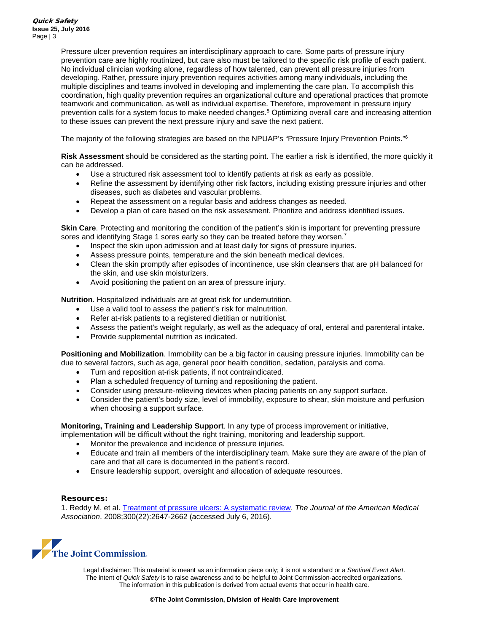Pressure ulcer prevention requires an interdisciplinary approach to care. Some parts of pressure injury prevention care are highly routinized, but care also must be tailored to the specific risk profile of each patient. No individual clinician working alone, regardless of how talented, can prevent all pressure injuries from developing. Rather, pressure injury prevention requires activities among many individuals, including the multiple disciplines and teams involved in developing and implementing the care plan. To accomplish this coordination, high quality prevention requires an organizational culture and operational practices that promote teamwork and communication, as well as individual expertise. Therefore, improvement in pressure injury prevention calls for a system focus to make needed changes.5 Optimizing overall care and increasing attention to these issues can prevent the next pressure injury and save the next patient.

The majority of the following strategies are based on the NPUAP's "Pressure Injury Prevention Points."<sup>6</sup>

**Risk Assessment** should be considered as the starting point. The earlier a risk is identified, the more quickly it can be addressed.

- Use a structured risk assessment tool to identify patients at risk as early as possible.
- Refine the assessment by identifying other risk factors, including existing pressure injuries and other diseases, such as diabetes and vascular problems.
- Repeat the assessment on a regular basis and address changes as needed.
- Develop a plan of care based on the risk assessment. Prioritize and address identified issues.

**Skin Care**. Protecting and monitoring the condition of the patient's skin is important for preventing pressure sores and identifying Stage 1 sores early so they can be treated before they worsen.<sup>7</sup>

- Inspect the skin upon admission and at least daily for signs of pressure injuries.
- Assess pressure points, temperature and the skin beneath medical devices.
- Clean the skin promptly after episodes of incontinence, use skin cleansers that are pH balanced for the skin, and use skin moisturizers.
- Avoid positioning the patient on an area of pressure injury.

**Nutrition**. Hospitalized individuals are at great risk for undernutrition.

- Use a valid tool to assess the patient's risk for malnutrition.
- Refer at-risk patients to a registered dietitian or nutritionist.
- Assess the patient's weight regularly, as well as the adequacy of oral, enteral and parenteral intake.
- Provide supplemental nutrition as indicated.

**Positioning and Mobilization**. Immobility can be a big factor in causing pressure injuries. Immobility can be due to several factors, such as age, general poor health condition, sedation, paralysis and coma.

- Turn and reposition at-risk patients, if not contraindicated.
- Plan a scheduled frequency of turning and repositioning the patient.
- Consider using pressure-relieving devices when placing patients on any support surface.
- Consider the patient's body size, level of immobility, exposure to shear, skin moisture and perfusion when choosing a support surface.

**Monitoring, Training and Leadership Support**. In any type of process improvement or initiative,

- implementation will be difficult without the right training, monitoring and leadership support.
	- Monitor the prevalence and incidence of pressure injuries.
	- Educate and train all members of the interdisciplinary team. Make sure they are aware of the plan of care and that all care is documented in the patient's record.
	- Ensure leadership support, oversight and allocation of adequate resources.

## Resources:

1. Reddy M, et al. [Treatment of pressure ulcers:](http://jama.jamanetwork.com/article.aspx?articleid=183029) A systematic review. *The Journal of the American Medical Association*. 2008;300(22):2647-2662 (accessed July 6, 2016).